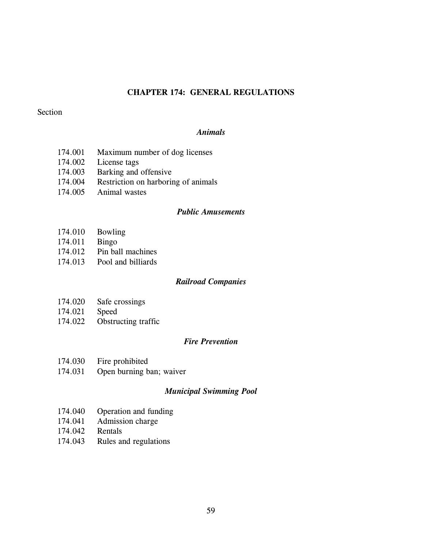## **CHAPTER 174: GENERAL REGULATIONS**

#### Section

#### *Animals*

- 174.001 Maximum number of dog licenses
- 174.002 License tags
- 174.003 Barking and offensive
- 174.004 Restriction on harboring of animals
- 174.005 Animal wastes

#### *Public Amusements*

- 174.010 Bowling
- 174.011 Bingo
- 174.012 Pin ball machines
- 174.013 Pool and billiards

#### *Railroad Companies*

- 174.020 Safe crossings
- 174.021 Speed
- 174.022 Obstructing traffic

#### *Fire Prevention*

- 174.030 Fire prohibited
- 174.031 Open burning ban; waiver

#### *Municipal Swimming Pool*

- 174.040 Operation and funding
- 174.041 Admission charge
- 174.042 Rentals
- 174.043 Rules and regulations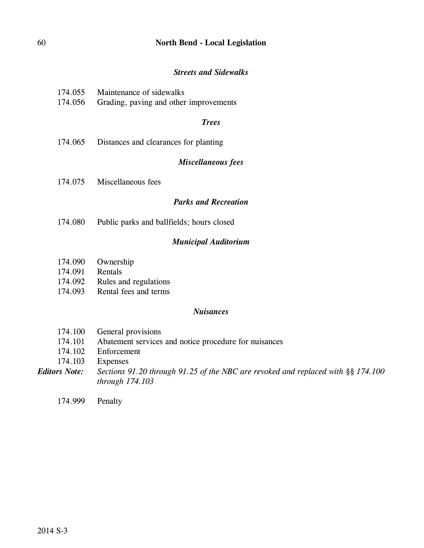## 60 **North Bend - Local Legislation**

### *Streets and Sidewalks*

| 174.055 | Maintenance of sidewalks |
|---------|--------------------------|
|         |                          |

174.056 Grading, paving and other improvements

#### *Trees*

174.065 Distances and clearances for planting

### *Miscellaneous fees*

174.075 Miscellaneous fees

## *Parks and Recreation*

174.080 Public parks and ballfields; hours closed

## *Municipal Auditorium*

- 174.090 Ownership
- 174.091 Rentals
- 174.092 Rules and regulations
- 174.093 Rental fees and terms

#### *Nuisances*

- 174.100 General provisions
- 174.101 Abatement services and notice procedure for nuisances
- 174.102 Enforcement
- 174.103 Expenses
- *Editors Note: Sections 91.20 through 91.25 of the NBC are revoked and replaced with §§ 174.100 through 174.103*

174.999 Penalty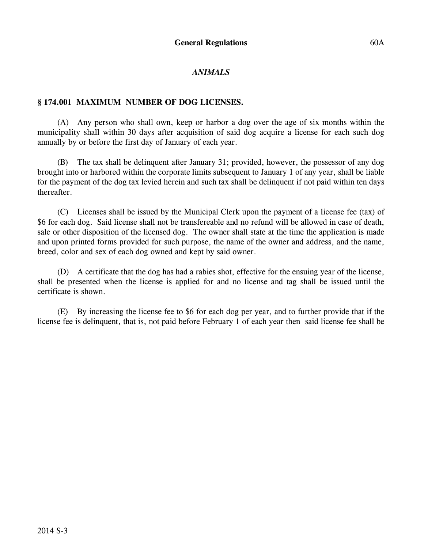## *ANIMALS*

### **§ 174.001 MAXIMUM NUMBER OF DOG LICENSES.**

(A) Any person who shall own, keep or harbor a dog over the age of six months within the municipality shall within 30 days after acquisition of said dog acquire a license for each such dog annually by or before the first day of January of each year.

(B) The tax shall be delinquent after January 31; provided, however, the possessor of any dog brought into or harbored within the corporate limits subsequent to January 1 of any year, shall be liable for the payment of the dog tax levied herein and such tax shall be delinquent if not paid within ten days thereafter.

(C) Licenses shall be issued by the Municipal Clerk upon the payment of a license fee (tax) of \$6 for each dog. Said license shall not be transfereable and no refund will be allowed in case of death, sale or other disposition of the licensed dog. The owner shall state at the time the application is made and upon printed forms provided for such purpose, the name of the owner and address, and the name, breed, color and sex of each dog owned and kept by said owner.

(D) A certificate that the dog has had a rabies shot, effective for the ensuing year of the license, shall be presented when the license is applied for and no license and tag shall be issued until the certificate is shown.

(E) By increasing the license fee to \$6 for each dog per year, and to further provide that if the license fee is delinquent, that is, not paid before February 1 of each year then said license fee shall be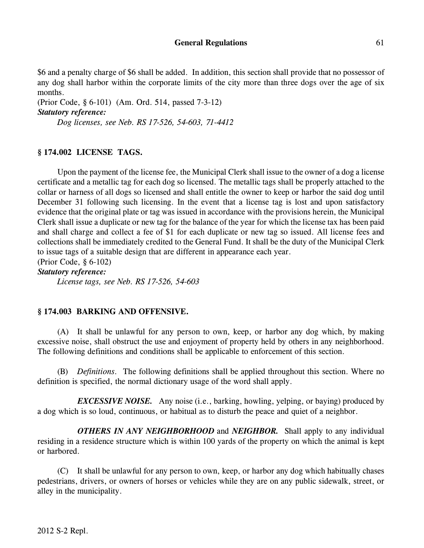\$6 and a penalty charge of \$6 shall be added. In addition, this section shall provide that no possessor of any dog shall harbor within the corporate limits of the city more than three dogs over the age of six months.

(Prior Code, § 6-101) (Am. Ord. 514, passed 7-3-12) *Statutory reference: Dog licenses, see Neb. RS 17-526, 54-603, 71-4412*

#### **§ 174.002 LICENSE TAGS.**

Upon the payment of the license fee, the Municipal Clerk shall issue to the owner of a dog a license certificate and a metallic tag for each dog so licensed. The metallic tags shall be properly attached to the collar or harness of all dogs so licensed and shall entitle the owner to keep or harbor the said dog until December 31 following such licensing. In the event that a license tag is lost and upon satisfactory evidence that the original plate or tag was issued in accordance with the provisions herein, the Municipal Clerk shall issue a duplicate or new tag for the balance of the year for which the license tax has been paid and shall charge and collect a fee of \$1 for each duplicate or new tag so issued. All license fees and collections shall be immediately credited to the General Fund. It shall be the duty of the Municipal Clerk to issue tags of a suitable design that are different in appearance each year.

(Prior Code, § 6-102)

*Statutory reference:*

*License tags, see Neb. RS 17-526, 54-603*

#### **§ 174.003 BARKING AND OFFENSIVE.**

(A) It shall be unlawful for any person to own, keep, or harbor any dog which, by making excessive noise, shall obstruct the use and enjoyment of property held by others in any neighborhood. The following definitions and conditions shall be applicable to enforcement of this section.

(B) *Definitions.* The following definitions shall be applied throughout this section. Where no definition is specified, the normal dictionary usage of the word shall apply.

*EXCESSIVE NOISE.* Any noise (i.e., barking, howling, yelping, or baying) produced by a dog which is so loud, continuous, or habitual as to disturb the peace and quiet of a neighbor.

*OTHERS IN ANY NEIGHBORHOOD* and *NEIGHBOR.* Shall apply to any individual residing in a residence structure which is within 100 yards of the property on which the animal is kept or harbored.

(C) It shall be unlawful for any person to own, keep, or harbor any dog which habitually chases pedestrians, drivers, or owners of horses or vehicles while they are on any public sidewalk, street, or alley in the municipality.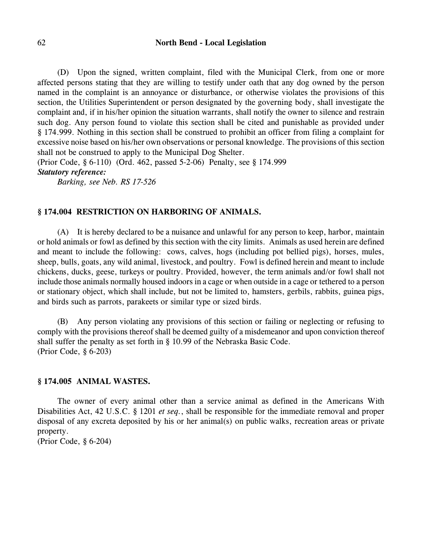#### 62 **North Bend - Local Legislation**

(D) Upon the signed, written complaint, filed with the Municipal Clerk, from one or more affected persons stating that they are willing to testify under oath that any dog owned by the person named in the complaint is an annoyance or disturbance, or otherwise violates the provisions of this section, the Utilities Superintendent or person designated by the governing body, shall investigate the complaint and, if in his/her opinion the situation warrants, shall notify the owner to silence and restrain such dog. Any person found to violate this section shall be cited and punishable as provided under § 174.999. Nothing in this section shall be construed to prohibit an officer from filing a complaint for excessive noise based on his/her own observations or personal knowledge. The provisions of this section shall not be construed to apply to the Municipal Dog Shelter.

(Prior Code, § 6-110) (Ord. 462, passed 5-2-06) Penalty, see § 174.999 *Statutory reference:*

*Barking, see Neb. RS 17-526*

#### **§ 174.004 RESTRICTION ON HARBORING OF ANIMALS.**

(A) It is hereby declared to be a nuisance and unlawful for any person to keep, harbor, maintain or hold animals or fowl as defined by this section with the city limits. Animals as used herein are defined and meant to include the following: cows, calves, hogs (including pot bellied pigs), horses, mules, sheep, bulls, goats, any wild animal, livestock, and poultry. Fowl is defined herein and meant to include chickens, ducks, geese, turkeys or poultry. Provided, however, the term animals and/or fowl shall not include those animals normally housed indoors in a cage or when outside in a cage or tethered to a person or stationary object, which shall include, but not be limited to, hamsters, gerbils, rabbits, guinea pigs, and birds such as parrots, parakeets or similar type or sized birds.

(B) Any person violating any provisions of this section or failing or neglecting or refusing to comply with the provisions thereof shall be deemed guilty of a misdemeanor and upon conviction thereof shall suffer the penalty as set forth in § 10.99 of the Nebraska Basic Code. (Prior Code, § 6-203)

#### **§ 174.005 ANIMAL WASTES.**

The owner of every animal other than a service animal as defined in the Americans With Disabilities Act, 42 U.S.C. § 1201 *et seq.*, shall be responsible for the immediate removal and proper disposal of any excreta deposited by his or her animal(s) on public walks, recreation areas or private property.

(Prior Code, § 6-204)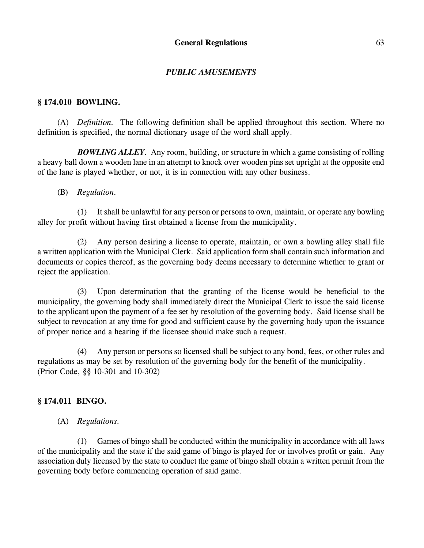## *PUBLIC AMUSEMENTS*

### **§ 174.010 BOWLING.**

(A) *Definition.* The following definition shall be applied throughout this section. Where no definition is specified, the normal dictionary usage of the word shall apply.

*BOWLING ALLEY.* Any room, building, or structure in which a game consisting of rolling a heavy ball down a wooden lane in an attempt to knock over wooden pins set upright at the opposite end of the lane is played whether, or not, it is in connection with any other business.

#### (B) *Regulation.*

(1) It shall be unlawful for any person or persons to own, maintain, or operate any bowling alley for profit without having first obtained a license from the municipality.

(2) Any person desiring a license to operate, maintain, or own a bowling alley shall file a written application with the Municipal Clerk. Said application form shall contain such information and documents or copies thereof, as the governing body deems necessary to determine whether to grant or reject the application.

(3) Upon determination that the granting of the license would be beneficial to the municipality, the governing body shall immediately direct the Municipal Clerk to issue the said license to the applicant upon the payment of a fee set by resolution of the governing body. Said license shall be subject to revocation at any time for good and sufficient cause by the governing body upon the issuance of proper notice and a hearing if the licensee should make such a request.

(4) Any person or persons so licensed shall be subject to any bond, fees, or other rules and regulations as may be set by resolution of the governing body for the benefit of the municipality. (Prior Code, §§ 10-301 and 10-302)

#### **§ 174.011 BINGO.**

(A) *Regulations.* 

(1) Games of bingo shall be conducted within the municipality in accordance with all laws of the municipality and the state if the said game of bingo is played for or involves profit or gain. Any association duly licensed by the state to conduct the game of bingo shall obtain a written permit from the governing body before commencing operation of said game.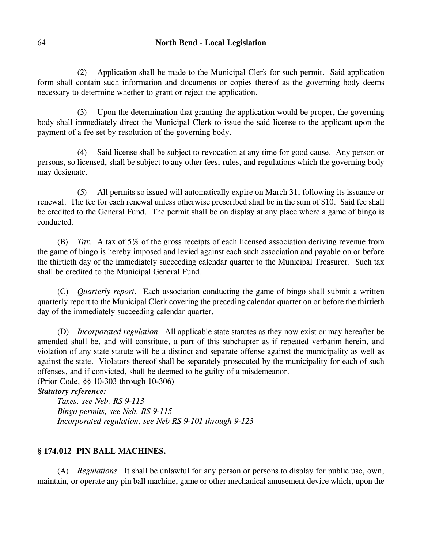### 64 **North Bend - Local Legislation**

(2) Application shall be made to the Municipal Clerk for such permit. Said application form shall contain such information and documents or copies thereof as the governing body deems necessary to determine whether to grant or reject the application.

(3) Upon the determination that granting the application would be proper, the governing body shall immediately direct the Municipal Clerk to issue the said license to the applicant upon the payment of a fee set by resolution of the governing body.

(4) Said license shall be subject to revocation at any time for good cause. Any person or persons, so licensed, shall be subject to any other fees, rules, and regulations which the governing body may designate.

(5) All permits so issued will automatically expire on March 31, following its issuance or renewal. The fee for each renewal unless otherwise prescribed shall be in the sum of \$10. Said fee shall be credited to the General Fund. The permit shall be on display at any place where a game of bingo is conducted.

(B) *Tax.* A tax of 5% of the gross receipts of each licensed association deriving revenue from the game of bingo is hereby imposed and levied against each such association and payable on or before the thirtieth day of the immediately succeeding calendar quarter to the Municipal Treasurer. Such tax shall be credited to the Municipal General Fund.

(C) *Quarterly report.* Each association conducting the game of bingo shall submit a written quarterly report to the Municipal Clerk covering the preceding calendar quarter on or before the thirtieth day of the immediately succeeding calendar quarter.

(D) *Incorporated regulation.* All applicable state statutes as they now exist or may hereafter be amended shall be, and will constitute, a part of this subchapter as if repeated verbatim herein, and violation of any state statute will be a distinct and separate offense against the municipality as well as against the state. Violators thereof shall be separately prosecuted by the municipality for each of such offenses, and if convicted, shall be deemed to be guilty of a misdemeanor.

(Prior Code, §§ 10-303 through 10-306)

### *Statutory reference:*

*Taxes, see Neb. RS 9-113 Bingo permits, see Neb. RS 9-115 Incorporated regulation, see Neb RS 9-101 through 9-123*

## **§ 174.012 PIN BALL MACHINES.**

(A) *Regulations.* It shall be unlawful for any person or persons to display for public use, own, maintain, or operate any pin ball machine, game or other mechanical amusement device which, upon the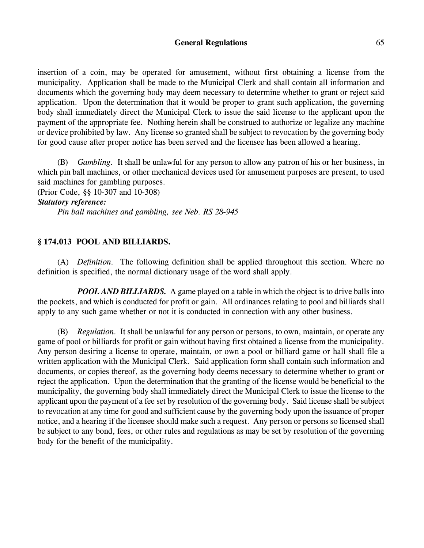#### General Regulations 65

insertion of a coin, may be operated for amusement, without first obtaining a license from the municipality. Application shall be made to the Municipal Clerk and shall contain all information and documents which the governing body may deem necessary to determine whether to grant or reject said application. Upon the determination that it would be proper to grant such application, the governing body shall immediately direct the Municipal Clerk to issue the said license to the applicant upon the payment of the appropriate fee. Nothing herein shall be construed to authorize or legalize any machine or device prohibited by law. Any license so granted shall be subject to revocation by the governing body for good cause after proper notice has been served and the licensee has been allowed a hearing.

(B) *Gambling.* It shall be unlawful for any person to allow any patron of his or her business, in which pin ball machines, or other mechanical devices used for amusement purposes are present, to used said machines for gambling purposes.

(Prior Code, §§ 10-307 and 10-308)

## *Statutory reference:*

*Pin ball machines and gambling, see Neb. RS 28-945*

#### **§ 174.013 POOL AND BILLIARDS.**

(A) *Definition.* The following definition shall be applied throughout this section. Where no definition is specified, the normal dictionary usage of the word shall apply.

*POOL AND BILLIARDS.* A game played on a table in which the object is to drive balls into the pockets, and which is conducted for profit or gain. All ordinances relating to pool and billiards shall apply to any such game whether or not it is conducted in connection with any other business.

(B) *Regulation.* It shall be unlawful for any person or persons, to own, maintain, or operate any game of pool or billiards for profit or gain without having first obtained a license from the municipality. Any person desiring a license to operate, maintain, or own a pool or billiard game or hall shall file a written application with the Municipal Clerk. Said application form shall contain such information and documents, or copies thereof, as the governing body deems necessary to determine whether to grant or reject the application. Upon the determination that the granting of the license would be beneficial to the municipality, the governing body shall immediately direct the Municipal Clerk to issue the license to the applicant upon the payment of a fee set by resolution of the governing body. Said license shall be subject to revocation at any time for good and sufficient cause by the governing body upon the issuance of proper notice, and a hearing if the licensee should make such a request. Any person or persons so licensed shall be subject to any bond, fees, or other rules and regulations as may be set by resolution of the governing body for the benefit of the municipality.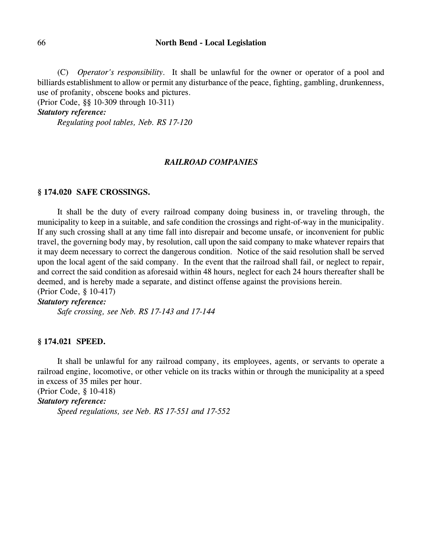#### 66 **North Bend - Local Legislation**

(C) *Operator's responsibility.* It shall be unlawful for the owner or operator of a pool and billiards establishment to allow or permit any disturbance of the peace, fighting, gambling, drunkenness, use of profanity, obscene books and pictures.

(Prior Code, §§ 10-309 through 10-311)

*Statutory reference:*

*Regulating pool tables, Neb. RS 17-120*

#### *RAILROAD COMPANIES*

#### **§ 174.020 SAFE CROSSINGS.**

It shall be the duty of every railroad company doing business in, or traveling through, the municipality to keep in a suitable, and safe condition the crossings and right-of-way in the municipality. If any such crossing shall at any time fall into disrepair and become unsafe, or inconvenient for public travel, the governing body may, by resolution, call upon the said company to make whatever repairs that it may deem necessary to correct the dangerous condition. Notice of the said resolution shall be served upon the local agent of the said company. In the event that the railroad shall fail, or neglect to repair, and correct the said condition as aforesaid within 48 hours, neglect for each 24 hours thereafter shall be deemed, and is hereby made a separate, and distinct offense against the provisions herein. (Prior Code, § 10-417)

#### *Statutory reference:*

*Safe crossing, see Neb. RS 17-143 and 17-144*

#### **§ 174.021 SPEED.**

It shall be unlawful for any railroad company, its employees, agents, or servants to operate a railroad engine, locomotive, or other vehicle on its tracks within or through the municipality at a speed in excess of 35 miles per hour.

(Prior Code, § 10-418)

*Statutory reference:*

*Speed regulations, see Neb. RS 17-551 and 17-552*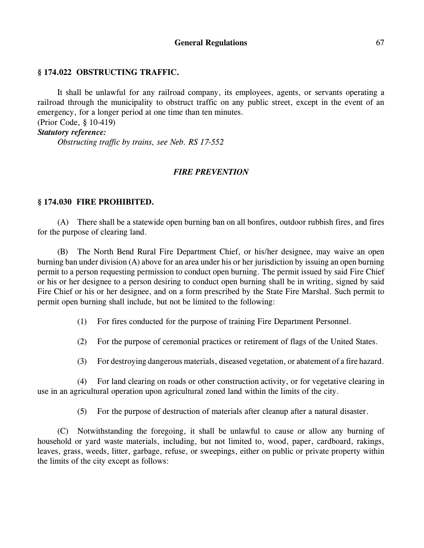## **§ 174.022 OBSTRUCTING TRAFFIC.**

It shall be unlawful for any railroad company, its employees, agents, or servants operating a railroad through the municipality to obstruct traffic on any public street, except in the event of an emergency, for a longer period at one time than ten minutes.

### (Prior Code, § 10-419) *Statutory reference:*

*Obstructing traffic by trains, see Neb. RS 17-552*

### *FIRE PREVENTION*

### **§ 174.030 FIRE PROHIBITED.**

(A) There shall be a statewide open burning ban on all bonfires, outdoor rubbish fires, and fires for the purpose of clearing land.

(B) The North Bend Rural Fire Department Chief, or his/her designee, may waive an open burning ban under division (A) above for an area under his or her jurisdiction by issuing an open burning permit to a person requesting permission to conduct open burning. The permit issued by said Fire Chief or his or her designee to a person desiring to conduct open burning shall be in writing, signed by said Fire Chief or his or her designee, and on a form prescribed by the State Fire Marshal. Such permit to permit open burning shall include, but not be limited to the following:

(1) For fires conducted for the purpose of training Fire Department Personnel.

(2) For the purpose of ceremonial practices or retirement of flags of the United States.

(3) For destroying dangerous materials, diseased vegetation, or abatement of a fire hazard.

(4) For land clearing on roads or other construction activity, or for vegetative clearing in use in an agricultural operation upon agricultural zoned land within the limits of the city.

(5) For the purpose of destruction of materials after cleanup after a natural disaster.

(C) Notwithstanding the foregoing, it shall be unlawful to cause or allow any burning of household or yard waste materials, including, but not limited to, wood, paper, cardboard, rakings, leaves, grass, weeds, litter, garbage, refuse, or sweepings, either on public or private property within the limits of the city except as follows: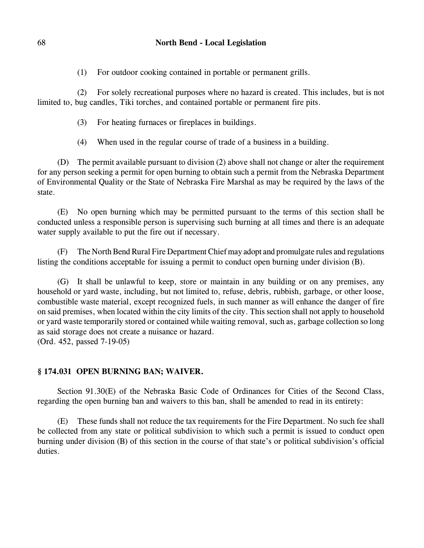(1) For outdoor cooking contained in portable or permanent grills.

(2) For solely recreational purposes where no hazard is created. This includes, but is not limited to, bug candles, Tiki torches, and contained portable or permanent fire pits.

- (3) For heating furnaces or fireplaces in buildings.
- (4) When used in the regular course of trade of a business in a building.

(D) The permit available pursuant to division (2) above shall not change or alter the requirement for any person seeking a permit for open burning to obtain such a permit from the Nebraska Department of Environmental Quality or the State of Nebraska Fire Marshal as may be required by the laws of the state.

(E) No open burning which may be permitted pursuant to the terms of this section shall be conducted unless a responsible person is supervising such burning at all times and there is an adequate water supply available to put the fire out if necessary.

(F) The North Bend Rural Fire Department Chief may adopt and promulgate rules and regulations listing the conditions acceptable for issuing a permit to conduct open burning under division (B).

(G) It shall be unlawful to keep, store or maintain in any building or on any premises, any household or yard waste, including, but not limited to, refuse, debris, rubbish, garbage, or other loose, combustible waste material, except recognized fuels, in such manner as will enhance the danger of fire on said premises, when located within the city limits of the city. This section shall not apply to household or yard waste temporarily stored or contained while waiting removal, such as, garbage collection so long as said storage does not create a nuisance or hazard. (Ord. 452, passed 7-19-05)

## **§ 174.031 OPEN BURNING BAN; WAIVER.**

Section 91.30(E) of the Nebraska Basic Code of Ordinances for Cities of the Second Class, regarding the open burning ban and waivers to this ban, shall be amended to read in its entirety:

(E) These funds shall not reduce the tax requirements for the Fire Department. No such fee shall be collected from any state or political subdivision to which such a permit is issued to conduct open burning under division (B) of this section in the course of that state's or political subdivision's official duties.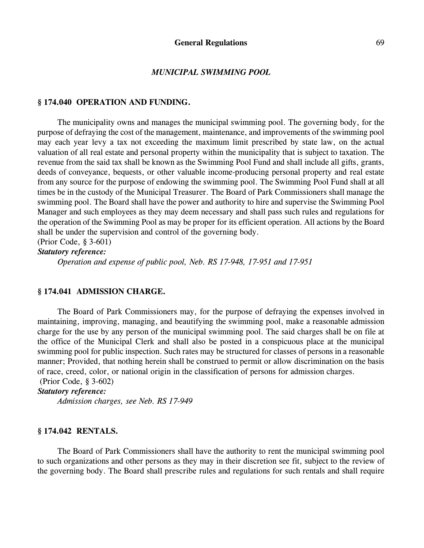#### *MUNICIPAL SWIMMING POOL*

#### **§ 174.040 OPERATION AND FUNDING.**

The municipality owns and manages the municipal swimming pool. The governing body, for the purpose of defraying the cost of the management, maintenance, and improvements of the swimming pool may each year levy a tax not exceeding the maximum limit prescribed by state law, on the actual valuation of all real estate and personal property within the municipality that is subject to taxation. The revenue from the said tax shall be known as the Swimming Pool Fund and shall include all gifts, grants, deeds of conveyance, bequests, or other valuable income-producing personal property and real estate from any source for the purpose of endowing the swimming pool. The Swimming Pool Fund shall at all times be in the custody of the Municipal Treasurer. The Board of Park Commissioners shall manage the swimming pool. The Board shall have the power and authority to hire and supervise the Swimming Pool Manager and such employees as they may deem necessary and shall pass such rules and regulations for the operation of the Swimming Pool as may be proper for its efficient operation. All actions by the Board shall be under the supervision and control of the governing body. (Prior Code, § 3-601)

*Statutory reference:*

*Operation and expense of public pool, Neb. RS 17-948, 17-951 and 17-951*

#### **§ 174.041 ADMISSION CHARGE.**

The Board of Park Commissioners may, for the purpose of defraying the expenses involved in maintaining, improving, managing, and beautifying the swimming pool, make a reasonable admission charge for the use by any person of the municipal swimming pool. The said charges shall be on file at the office of the Municipal Clerk and shall also be posted in a conspicuous place at the municipal swimming pool for public inspection. Such rates may be structured for classes of persons in a reasonable manner; Provided, that nothing herein shall be construed to permit or allow discrimination on the basis of race, creed, color, or national origin in the classification of persons for admission charges.

(Prior Code, § 3-602)

#### *Statutory reference:*

*Admission charges, see Neb. RS 17-949*

#### **§ 174.042 RENTALS.**

The Board of Park Commissioners shall have the authority to rent the municipal swimming pool to such organizations and other persons as they may in their discretion see fit, subject to the review of the governing body. The Board shall prescribe rules and regulations for such rentals and shall require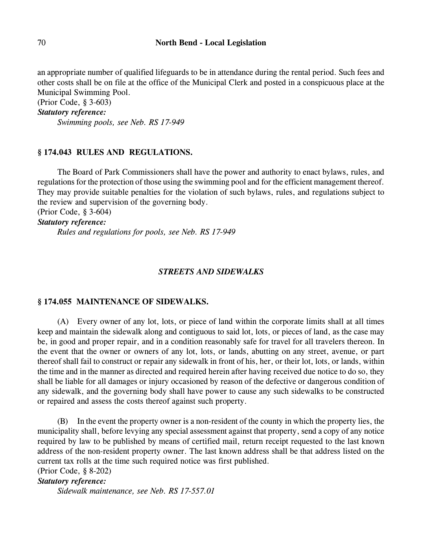an appropriate number of qualified lifeguards to be in attendance during the rental period. Such fees and other costs shall be on file at the office of the Municipal Clerk and posted in a conspicuous place at the Municipal Swimming Pool.

(Prior Code, § 3-603)

*Statutory reference:*

*Swimming pools, see Neb. RS 17-949*

#### **§ 174.043 RULES AND REGULATIONS.**

The Board of Park Commissioners shall have the power and authority to enact bylaws, rules, and regulations for the protection of those using the swimming pool and for the efficient management thereof. They may provide suitable penalties for the violation of such bylaws, rules, and regulations subject to the review and supervision of the governing body.

(Prior Code, § 3-604)

*Statutory reference:*

*Rules and regulations for pools, see Neb. RS 17-949*

#### *STREETS AND SIDEWALKS*

#### **§ 174.055 MAINTENANCE OF SIDEWALKS.**

(A) Every owner of any lot, lots, or piece of land within the corporate limits shall at all times keep and maintain the sidewalk along and contiguous to said lot, lots, or pieces of land, as the case may be, in good and proper repair, and in a condition reasonably safe for travel for all travelers thereon. In the event that the owner or owners of any lot, lots, or lands, abutting on any street, avenue, or part thereof shall fail to construct or repair any sidewalk in front of his, her, or their lot, lots, or lands, within the time and in the manner as directed and required herein after having received due notice to do so, they shall be liable for all damages or injury occasioned by reason of the defective or dangerous condition of any sidewalk, and the governing body shall have power to cause any such sidewalks to be constructed or repaired and assess the costs thereof against such property.

(B) In the event the property owner is a non-resident of the county in which the property lies, the municipality shall, before levying any special assessment against that property, send a copy of any notice required by law to be published by means of certified mail, return receipt requested to the last known address of the non-resident property owner. The last known address shall be that address listed on the current tax rolls at the time such required notice was first published. (Prior Code, § 8-202)

*Statutory reference:*

*Sidewalk maintenance, see Neb. RS 17-557.01*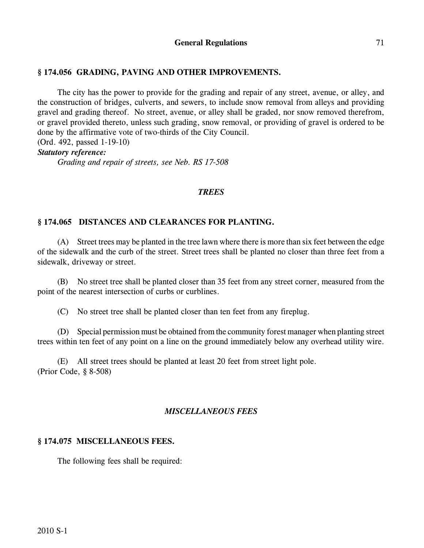## **§ 174.056 GRADING, PAVING AND OTHER IMPROVEMENTS.**

The city has the power to provide for the grading and repair of any street, avenue, or alley, and the construction of bridges, culverts, and sewers, to include snow removal from alleys and providing gravel and grading thereof. No street, avenue, or alley shall be graded, nor snow removed therefrom, or gravel provided thereto, unless such grading, snow removal, or providing of gravel is ordered to be done by the affirmative vote of two-thirds of the City Council.

(Ord. 492, passed 1-19-10)

## *Statutory reference:*

*Grading and repair of streets, see Neb. RS 17-508*

#### *TREES*

## **§ 174.065 DISTANCES AND CLEARANCES FOR PLANTING.**

(A) Street trees may be planted in the tree lawn where there is more than six feet between the edge of the sidewalk and the curb of the street. Street trees shall be planted no closer than three feet from a sidewalk, driveway or street.

(B) No street tree shall be planted closer than 35 feet from any street corner, measured from the point of the nearest intersection of curbs or curblines.

(C) No street tree shall be planted closer than ten feet from any fireplug.

(D) Special permission must be obtained from the community forest manager when planting street trees within ten feet of any point on a line on the ground immediately below any overhead utility wire.

(E) All street trees should be planted at least 20 feet from street light pole. (Prior Code, § 8-508)

## *MISCELLANEOUS FEES*

#### **§ 174.075 MISCELLANEOUS FEES.**

The following fees shall be required: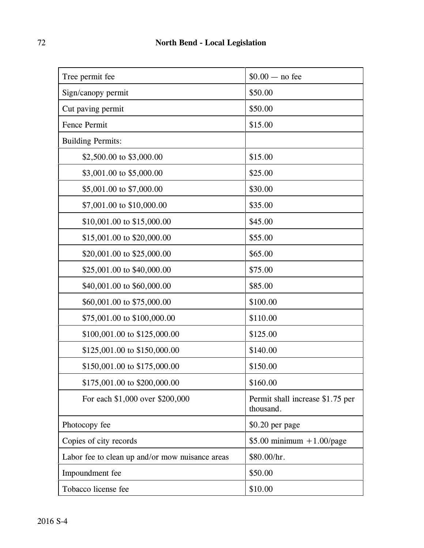| Tree permit fee                                 | $$0.00 - no$ fee                              |
|-------------------------------------------------|-----------------------------------------------|
| Sign/canopy permit                              | \$50.00                                       |
| Cut paving permit                               | \$50.00                                       |
| <b>Fence Permit</b>                             | \$15.00                                       |
| <b>Building Permits:</b>                        |                                               |
| \$2,500.00 to \$3,000.00                        | \$15.00                                       |
| \$3,001.00 to \$5,000.00                        | \$25.00                                       |
| \$5,001.00 to \$7,000.00                        | \$30.00                                       |
| \$7,001.00 to \$10,000.00                       | \$35.00                                       |
| \$10,001.00 to \$15,000.00                      | \$45.00                                       |
| \$15,001.00 to \$20,000.00                      | \$55.00                                       |
| \$20,001.00 to \$25,000.00                      | \$65.00                                       |
| \$25,001.00 to \$40,000.00                      | \$75.00                                       |
| \$40,001.00 to \$60,000.00                      | \$85.00                                       |
| \$60,001.00 to \$75,000.00                      | \$100.00                                      |
| \$75,001.00 to \$100,000.00                     | \$110.00                                      |
| \$100,001.00 to \$125,000.00                    | \$125.00                                      |
| \$125,001.00 to \$150,000.00                    | \$140.00                                      |
| \$150,001.00 to \$175,000.00                    | \$150.00                                      |
| \$175,001.00 to \$200,000.00                    | \$160.00                                      |
| For each \$1,000 over \$200,000                 | Permit shall increase \$1.75 per<br>thousand. |
| Photocopy fee                                   | \$0.20 per page                               |
| Copies of city records                          | $$5.00$ minimum $+1.00$ /page                 |
| Labor fee to clean up and/or mow nuisance areas | \$80.00/hr.                                   |
| Impoundment fee                                 | \$50.00                                       |
| Tobacco license fee                             | \$10.00                                       |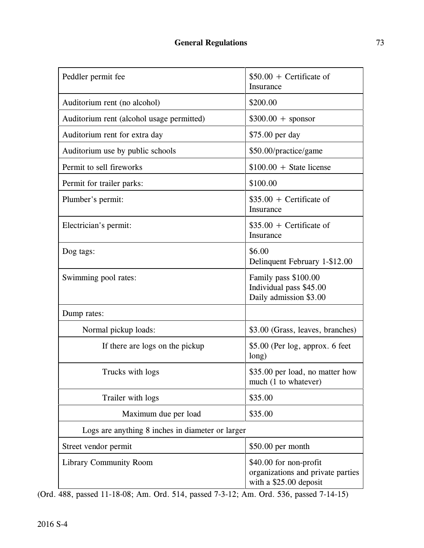| Peddler permit fee                               | $$50.00 +$ Certificate of<br>Insurance                                                |  |  |
|--------------------------------------------------|---------------------------------------------------------------------------------------|--|--|
| Auditorium rent (no alcohol)                     | \$200.00                                                                              |  |  |
| Auditorium rent (alcohol usage permitted)        | $$300.00 + sponsor$                                                                   |  |  |
| Auditorium rent for extra day                    | \$75.00 per day                                                                       |  |  |
| Auditorium use by public schools                 | \$50.00/practice/game                                                                 |  |  |
| Permit to sell fireworks                         | $$100.00 + State license$                                                             |  |  |
| Permit for trailer parks:                        | \$100.00                                                                              |  |  |
| Plumber's permit:                                | $$35.00 + Centificance of$<br>Insurance                                               |  |  |
| Electrician's permit:                            | $$35.00 +$ Certificate of<br>Insurance                                                |  |  |
| Dog tags:                                        | \$6.00<br>Delinquent February 1-\$12.00                                               |  |  |
| Swimming pool rates:                             | Family pass \$100.00<br>Individual pass \$45.00<br>Daily admission \$3.00             |  |  |
| Dump rates:                                      |                                                                                       |  |  |
| Normal pickup loads:                             | \$3.00 (Grass, leaves, branches)                                                      |  |  |
| If there are logs on the pickup                  | \$5.00 (Per log, approx. 6 feet<br>long)                                              |  |  |
| Trucks with logs                                 | \$35.00 per load, no matter how<br>much (1 to whatever)                               |  |  |
| Trailer with logs                                | \$35.00                                                                               |  |  |
| Maximum due per load                             | \$35.00                                                                               |  |  |
| Logs are anything 8 inches in diameter or larger |                                                                                       |  |  |
| Street vendor permit                             | \$50.00 per month                                                                     |  |  |
| <b>Library Community Room</b>                    | \$40.00 for non-profit<br>organizations and private parties<br>with a \$25.00 deposit |  |  |

(Ord. 488, passed 11-18-08; Am. Ord. 514, passed 7-3-12; Am. Ord. 536, passed 7-14-15)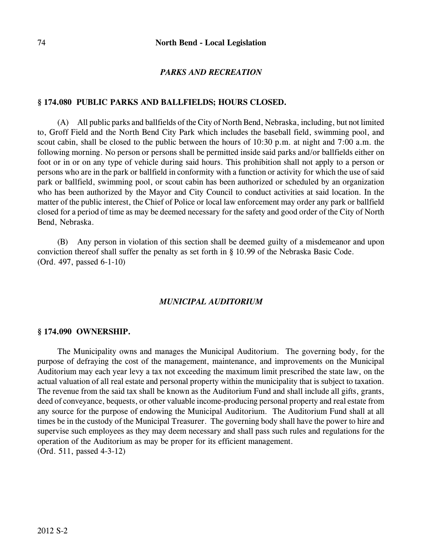### *PARKS AND RECREATION*

### **§ 174.080 PUBLIC PARKS AND BALLFIELDS; HOURS CLOSED.**

(A) All public parks and ballfields of the City of North Bend, Nebraska, including, but not limited to, Groff Field and the North Bend City Park which includes the baseball field, swimming pool, and scout cabin, shall be closed to the public between the hours of 10:30 p.m. at night and 7:00 a.m. the following morning. No person or persons shall be permitted inside said parks and/or ballfields either on foot or in or on any type of vehicle during said hours. This prohibition shall not apply to a person or persons who are in the park or ballfield in conformity with a function or activity for which the use of said park or ballfield, swimming pool, or scout cabin has been authorized or scheduled by an organization who has been authorized by the Mayor and City Council to conduct activities at said location. In the matter of the public interest, the Chief of Police or local law enforcement may order any park or ballfield closed for a period of time as may be deemed necessary for the safety and good order of the City of North Bend, Nebraska.

(B) Any person in violation of this section shall be deemed guilty of a misdemeanor and upon conviction thereof shall suffer the penalty as set forth in § 10.99 of the Nebraska Basic Code. (Ord. 497, passed 6-1-10)

#### *MUNICIPAL AUDITORIUM*

#### **§ 174.090 OWNERSHIP.**

The Municipality owns and manages the Municipal Auditorium. The governing body, for the purpose of defraying the cost of the management, maintenance, and improvements on the Municipal Auditorium may each year levy a tax not exceeding the maximum limit prescribed the state law, on the actual valuation of all real estate and personal property within the municipality that is subject to taxation. The revenue from the said tax shall be known as the Auditorium Fund and shall include all gifts, grants, deed of conveyance, bequests, or other valuable income-producing personal property and real estate from any source for the purpose of endowing the Municipal Auditorium. The Auditorium Fund shall at all times be in the custody of the Municipal Treasurer. The governing body shall have the power to hire and supervise such employees as they may deem necessary and shall pass such rules and regulations for the operation of the Auditorium as may be proper for its efficient management. (Ord. 511, passed 4-3-12)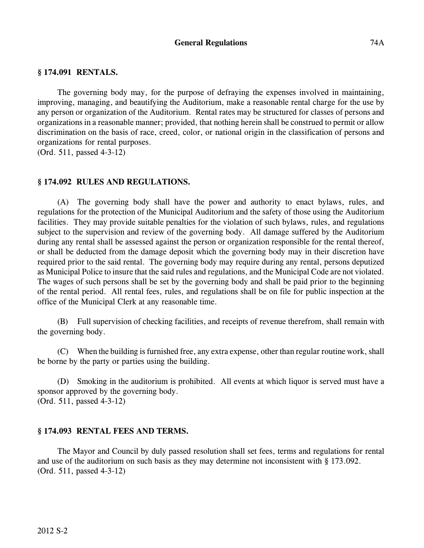### **General Regulations** 74A

### **§ 174.091 RENTALS.**

The governing body may, for the purpose of defraying the expenses involved in maintaining, improving, managing, and beautifying the Auditorium, make a reasonable rental charge for the use by any person or organization of the Auditorium. Rental rates may be structured for classes of persons and organizations in a reasonable manner; provided, that nothing herein shall be construed to permit or allow discrimination on the basis of race, creed, color, or national origin in the classification of persons and organizations for rental purposes.

(Ord. 511, passed 4-3-12)

### **§ 174.092 RULES AND REGULATIONS.**

(A) The governing body shall have the power and authority to enact bylaws, rules, and regulations for the protection of the Municipal Auditorium and the safety of those using the Auditorium facilities. They may provide suitable penalties for the violation of such bylaws, rules, and regulations subject to the supervision and review of the governing body. All damage suffered by the Auditorium during any rental shall be assessed against the person or organization responsible for the rental thereof, or shall be deducted from the damage deposit which the governing body may in their discretion have required prior to the said rental. The governing body may require during any rental, persons deputized as Municipal Police to insure that the said rules and regulations, and the Municipal Code are not violated. The wages of such persons shall be set by the governing body and shall be paid prior to the beginning of the rental period. All rental fees, rules, and regulations shall be on file for public inspection at the office of the Municipal Clerk at any reasonable time.

(B) Full supervision of checking facilities, and receipts of revenue therefrom, shall remain with the governing body.

(C) When the building is furnished free, any extra expense, other than regular routine work, shall be borne by the party or parties using the building.

(D) Smoking in the auditorium is prohibited. All events at which liquor is served must have a sponsor approved by the governing body. (Ord. 511, passed 4-3-12)

### **§ 174.093 RENTAL FEES AND TERMS.**

The Mayor and Council by duly passed resolution shall set fees, terms and regulations for rental and use of the auditorium on such basis as they may determine not inconsistent with § 173.092. (Ord. 511, passed 4-3-12)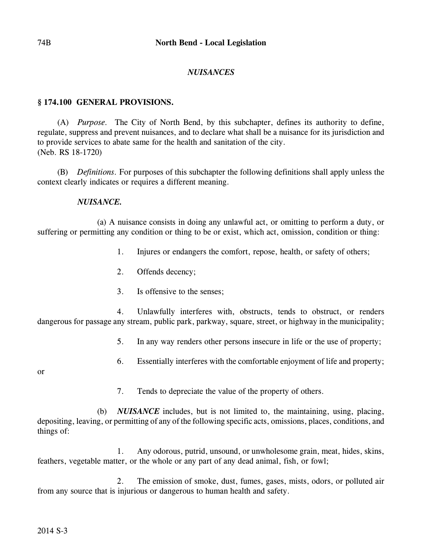## *NUISANCES*

## **§ 174.100 GENERAL PROVISIONS.**

(A) *Purpose.* The City of North Bend, by this subchapter, defines its authority to define, regulate, suppress and prevent nuisances, and to declare what shall be a nuisance for its jurisdiction and to provide services to abate same for the health and sanitation of the city. (Neb. RS 18-1720)

(B) *Definitions.* For purposes of this subchapter the following definitions shall apply unless the context clearly indicates or requires a different meaning.

### *NUISANCE.*

(a) A nuisance consists in doing any unlawful act, or omitting to perform a duty, or suffering or permitting any condition or thing to be or exist, which act, omission, condition or thing:

- 1. Injures or endangers the comfort, repose, health, or safety of others;
- 2. Offends decency;
- 3. Is offensive to the senses;

4. Unlawfully interferes with, obstructs, tends to obstruct, or renders dangerous for passage any stream, public park, parkway, square, street, or highway in the municipality;

- 5. In any way renders other persons insecure in life or the use of property;
- 6. Essentially interferes with the comfortable enjoyment of life and property;

or

7. Tends to depreciate the value of the property of others.

(b) *NUISANCE* includes, but is not limited to, the maintaining, using, placing, depositing, leaving, or permitting of any of the following specific acts, omissions, places, conditions, and things of:

1. Any odorous, putrid, unsound, or unwholesome grain, meat, hides, skins, feathers, vegetable matter, or the whole or any part of any dead animal, fish, or fowl;

2. The emission of smoke, dust, fumes, gases, mists, odors, or polluted air from any source that is injurious or dangerous to human health and safety.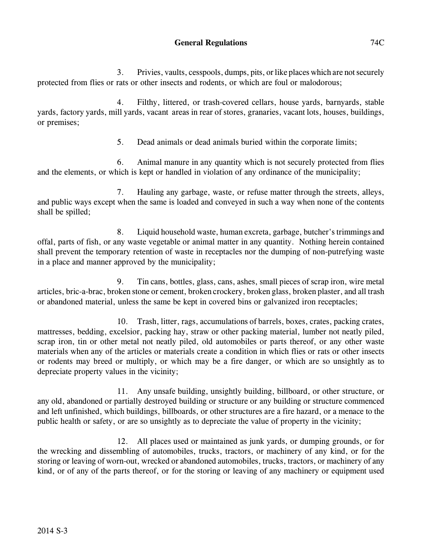3. Privies, vaults, cesspools, dumps, pits, or like places which are not securely protected from flies or rats or other insects and rodents, or which are foul or malodorous;

4. Filthy, littered, or trash-covered cellars, house yards, barnyards, stable yards, factory yards, mill yards, vacant areas in rear of stores, granaries, vacant lots, houses, buildings, or premises;

5. Dead animals or dead animals buried within the corporate limits;

6. Animal manure in any quantity which is not securely protected from flies and the elements, or which is kept or handled in violation of any ordinance of the municipality;

7. Hauling any garbage, waste, or refuse matter through the streets, alleys, and public ways except when the same is loaded and conveyed in such a way when none of the contents shall be spilled;

8. Liquid household waste, human excreta, garbage, butcher's trimmings and offal, parts of fish, or any waste vegetable or animal matter in any quantity. Nothing herein contained shall prevent the temporary retention of waste in receptacles nor the dumping of non-putrefying waste in a place and manner approved by the municipality;

9. Tin cans, bottles, glass, cans, ashes, small pieces of scrap iron, wire metal articles, bric-a-brac, broken stone or cement, broken crockery, broken glass, broken plaster, and all trash or abandoned material, unless the same be kept in covered bins or galvanized iron receptacles;

10. Trash, litter, rags, accumulations of barrels, boxes, crates, packing crates, mattresses, bedding, excelsior, packing hay, straw or other packing material, lumber not neatly piled, scrap iron, tin or other metal not neatly piled, old automobiles or parts thereof, or any other waste materials when any of the articles or materials create a condition in which flies or rats or other insects or rodents may breed or multiply, or which may be a fire danger, or which are so unsightly as to depreciate property values in the vicinity;

11. Any unsafe building, unsightly building, billboard, or other structure, or any old, abandoned or partially destroyed building or structure or any building or structure commenced and left unfinished, which buildings, billboards, or other structures are a fire hazard, or a menace to the public health or safety, or are so unsightly as to depreciate the value of property in the vicinity;

12. All places used or maintained as junk yards, or dumping grounds, or for the wrecking and dissembling of automobiles, trucks, tractors, or machinery of any kind, or for the storing or leaving of worn-out, wrecked or abandoned automobiles, trucks, tractors, or machinery of any kind, or of any of the parts thereof, or for the storing or leaving of any machinery or equipment used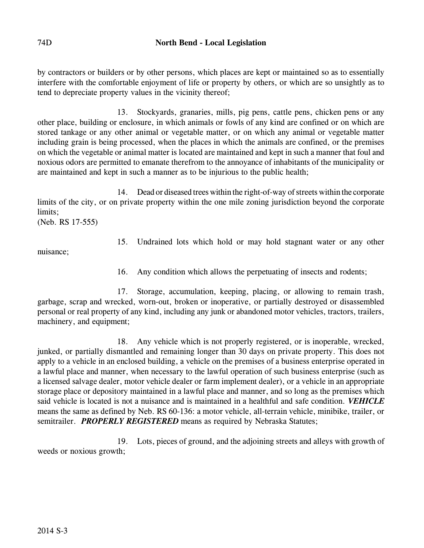by contractors or builders or by other persons, which places are kept or maintained so as to essentially interfere with the comfortable enjoyment of life or property by others, or which are so unsightly as to tend to depreciate property values in the vicinity thereof;

13. Stockyards, granaries, mills, pig pens, cattle pens, chicken pens or any other place, building or enclosure, in which animals or fowls of any kind are confined or on which are stored tankage or any other animal or vegetable matter, or on which any animal or vegetable matter including grain is being processed, when the places in which the animals are confined, or the premises on which the vegetable or animal matter is located are maintained and kept in such a manner that foul and noxious odors are permitted to emanate therefrom to the annoyance of inhabitants of the municipality or are maintained and kept in such a manner as to be injurious to the public health;

14. Dead or diseased trees within the right-of-way of streets within the corporate limits of the city, or on private property within the one mile zoning jurisdiction beyond the corporate limits;

(Neb. RS 17-555)

15. Undrained lots which hold or may hold stagnant water or any other

nuisance;

16. Any condition which allows the perpetuating of insects and rodents;

17. Storage, accumulation, keeping, placing, or allowing to remain trash, garbage, scrap and wrecked, worn-out, broken or inoperative, or partially destroyed or disassembled personal or real property of any kind, including any junk or abandoned motor vehicles, tractors, trailers, machinery, and equipment;

18. Any vehicle which is not properly registered, or is inoperable, wrecked, junked, or partially dismantled and remaining longer than 30 days on private property. This does not apply to a vehicle in an enclosed building, a vehicle on the premises of a business enterprise operated in a lawful place and manner, when necessary to the lawful operation of such business enterprise (such as a licensed salvage dealer, motor vehicle dealer or farm implement dealer), or a vehicle in an appropriate storage place or depository maintained in a lawful place and manner, and so long as the premises which said vehicle is located is not a nuisance and is maintained in a healthful and safe condition. *VEHICLE* means the same as defined by Neb. RS 60-136: a motor vehicle, all-terrain vehicle, minibike, trailer, or semitrailer. *PROPERLY REGISTERED* means as required by Nebraska Statutes;

19. Lots, pieces of ground, and the adjoining streets and alleys with growth of weeds or noxious growth;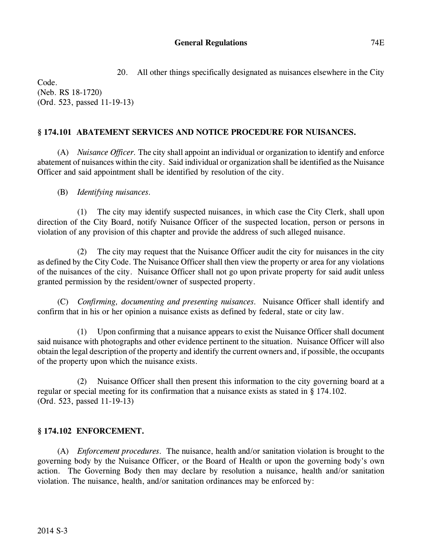20. All other things specifically designated as nuisances elsewhere in the City

Code. (Neb. RS 18-1720) (Ord. 523, passed 11-19-13)

## **§ 174.101 ABATEMENT SERVICES AND NOTICE PROCEDURE FOR NUISANCES.**

(A) *Nuisance Officer.* The city shall appoint an individual or organization to identify and enforce abatement of nuisances within the city. Said individual or organization shall be identified as the Nuisance Officer and said appointment shall be identified by resolution of the city.

(B) *Identifying nuisances.*

(1) The city may identify suspected nuisances, in which case the City Clerk, shall upon direction of the City Board, notify Nuisance Officer of the suspected location, person or persons in violation of any provision of this chapter and provide the address of such alleged nuisance.

(2) The city may request that the Nuisance Officer audit the city for nuisances in the city as defined by the City Code. The Nuisance Officer shall then view the property or area for any violations of the nuisances of the city. Nuisance Officer shall not go upon private property for said audit unless granted permission by the resident/owner of suspected property.

(C) *Confirming, documenting and presenting nuisances.* Nuisance Officer shall identify and confirm that in his or her opinion a nuisance exists as defined by federal, state or city law.

(1) Upon confirming that a nuisance appears to exist the Nuisance Officer shall document said nuisance with photographs and other evidence pertinent to the situation. Nuisance Officer will also obtain the legal description of the property and identify the current owners and, if possible, the occupants of the property upon which the nuisance exists.

(2) Nuisance Officer shall then present this information to the city governing board at a regular or special meeting for its confirmation that a nuisance exists as stated in § 174.102. (Ord. 523, passed 11-19-13)

## **§ 174.102 ENFORCEMENT.**

(A) *Enforcement procedures.* The nuisance, health and/or sanitation violation is brought to the governing body by the Nuisance Officer, or the Board of Health or upon the governing body's own action. The Governing Body then may declare by resolution a nuisance, health and/or sanitation violation. The nuisance, health, and/or sanitation ordinances may be enforced by: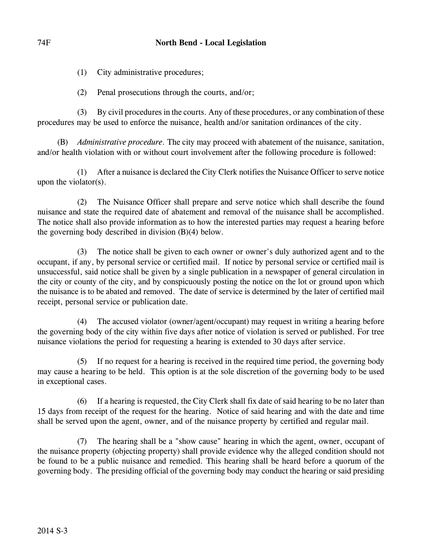(1) City administrative procedures;

(2) Penal prosecutions through the courts, and/or;

(3) By civil procedures in the courts. Any of these procedures, or any combination of these procedures may be used to enforce the nuisance, health and/or sanitation ordinances of the city.

(B) *Administrative procedure.* The city may proceed with abatement of the nuisance, sanitation, and/or health violation with or without court involvement after the following procedure is followed:

(1) After a nuisance is declared the City Clerk notifies the Nuisance Officer to serve notice upon the violator(s).

(2) The Nuisance Officer shall prepare and serve notice which shall describe the found nuisance and state the required date of abatement and removal of the nuisance shall be accomplished. The notice shall also provide information as to how the interested parties may request a hearing before the governing body described in division (B)(4) below.

(3) The notice shall be given to each owner or owner's duly authorized agent and to the occupant, if any, by personal service or certified mail. If notice by personal service or certified mail is unsuccessful, said notice shall be given by a single publication in a newspaper of general circulation in the city or county of the city, and by conspicuously posting the notice on the lot or ground upon which the nuisance is to be abated and removed. The date of service is determined by the later of certified mail receipt, personal service or publication date.

(4) The accused violator (owner/agent/occupant) may request in writing a hearing before the governing body of the city within five days after notice of violation is served or published. For tree nuisance violations the period for requesting a hearing is extended to 30 days after service.

(5) If no request for a hearing is received in the required time period, the governing body may cause a hearing to be held. This option is at the sole discretion of the governing body to be used in exceptional cases.

(6) If a hearing is requested, the City Clerk shall fix date of said hearing to be no later than 15 days from receipt of the request for the hearing. Notice of said hearing and with the date and time shall be served upon the agent, owner, and of the nuisance property by certified and regular mail.

(7) The hearing shall be a "show cause" hearing in which the agent, owner, occupant of the nuisance property (objecting property) shall provide evidence why the alleged condition should not be found to be a public nuisance and remedied. This hearing shall be heard before a quorum of the governing body. The presiding official of the governing body may conduct the hearing or said presiding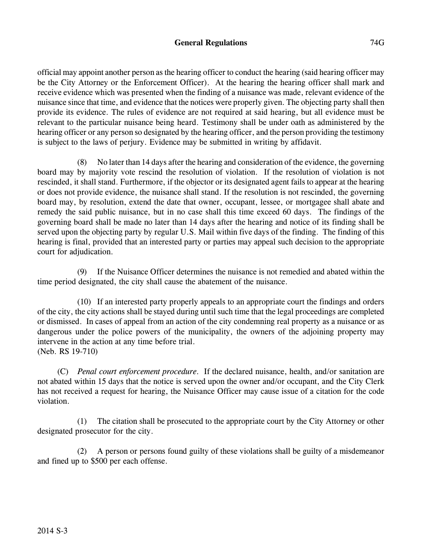## **General Regulations** 74G

official may appoint another person as the hearing officer to conduct the hearing (said hearing officer may be the City Attorney or the Enforcement Officer). At the hearing the hearing officer shall mark and receive evidence which was presented when the finding of a nuisance was made, relevant evidence of the nuisance since that time, and evidence that the notices were properly given. The objecting party shall then provide its evidence. The rules of evidence are not required at said hearing, but all evidence must be relevant to the particular nuisance being heard. Testimony shall be under oath as administered by the hearing officer or any person so designated by the hearing officer, and the person providing the testimony is subject to the laws of perjury. Evidence may be submitted in writing by affidavit.

(8) No laterthan 14 days after the hearing and consideration of the evidence, the governing board may by majority vote rescind the resolution of violation. If the resolution of violation is not rescinded, it shall stand. Furthermore, if the objector or its designated agent fails to appear at the hearing or does not provide evidence, the nuisance shall stand. If the resolution is not rescinded, the governing board may, by resolution, extend the date that owner, occupant, lessee, or mortgagee shall abate and remedy the said public nuisance, but in no case shall this time exceed 60 days. The findings of the governing board shall be made no later than 14 days after the hearing and notice of its finding shall be served upon the objecting party by regular U.S. Mail within five days of the finding. The finding of this hearing is final, provided that an interested party or parties may appeal such decision to the appropriate court for adjudication.

(9) If the Nuisance Officer determines the nuisance is not remedied and abated within the time period designated, the city shall cause the abatement of the nuisance.

(10) If an interested party properly appeals to an appropriate court the findings and orders of the city, the city actions shall be stayed during until such time that the legal proceedings are completed or dismissed. In cases of appeal from an action of the city condemning real property as a nuisance or as dangerous under the police powers of the municipality, the owners of the adjoining property may intervene in the action at any time before trial. (Neb. RS 19-710)

(C) *Penal court enforcement procedure.* If the declared nuisance, health, and/or sanitation are not abated within 15 days that the notice is served upon the owner and/or occupant, and the City Clerk has not received a request for hearing, the Nuisance Officer may cause issue of a citation for the code violation.

(1) The citation shall be prosecuted to the appropriate court by the City Attorney or other designated prosecutor for the city.

(2) A person or persons found guilty of these violations shall be guilty of a misdemeanor and fined up to \$500 per each offense.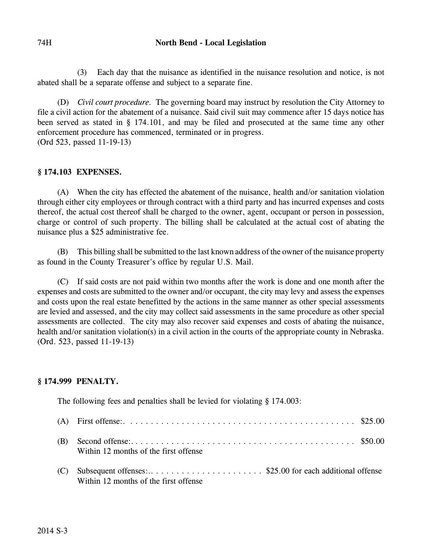(3) Each day that the nuisance as identified in the nuisance resolution and notice, is not abated shall be a separate offense and subject to a separate fine.

(D) *Civil court procedure.* The governing board may instruct by resolution the City Attorney to file a civil action for the abatement of a nuisance. Said civil suit may commence after 15 days notice has been served as stated in § 174.101, and may be filed and prosecuted at the same time any other enforcement procedure has commenced, terminated or in progress. (Ord 523, passed 11-19-13)

## **§ 174.103 EXPENSES.**

(A) When the city has effected the abatement of the nuisance, health and/or sanitation violation through either city employees or through contract with a third party and has incurred expenses and costs thereof, the actual cost thereof shall be charged to the owner, agent, occupant or person in possession, charge or control of such property. The billing shall be calculated at the actual cost of abating the nuisance plus a \$25 administrative fee.

(B) This billing shall be submitted to the last known address of the owner of the nuisance property as found in the County Treasurer's office by regular U.S. Mail.

(C) If said costs are not paid within two months after the work is done and one month after the expenses and costs are submitted to the owner and/or occupant, the city may levy and assess the expenses and costs upon the real estate benefitted by the actions in the same manner as other special assessments are levied and assessed, and the city may collect said assessments in the same procedure as other special assessments are collected. The city may also recover said expenses and costs of abating the nuisance, health and/or sanitation violation(s) in a civil action in the courts of the appropriate county in Nebraska. (Ord. 523, passed 11-19-13)

# **§ 174.999 PENALTY.**

The following fees and penalties shall be levied for violating § 174.003:

|     | (A) First offense: $\dots \dots \dots \dots \dots \dots \dots \dots \dots \dots \dots \dots \dots \dots \dots \dots \$ \$25.00 |  |
|-----|--------------------------------------------------------------------------------------------------------------------------------|--|
| (B) | Within 12 months of the first offense                                                                                          |  |
| (C) | Subsequent offenses:\$25.00 for each additional offense<br>Within 12 months of the first offense                               |  |